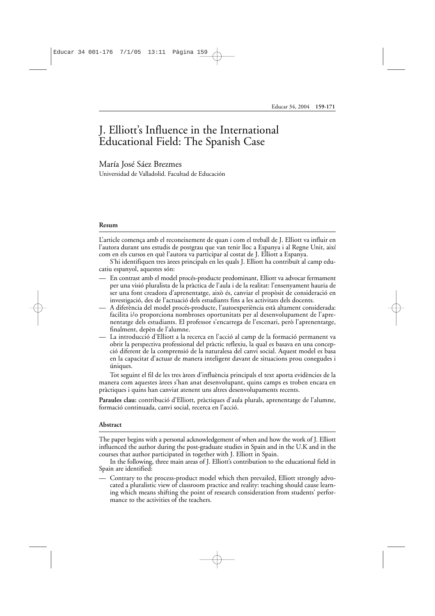# J. Elliott's Influence in the International Educational Field: The Spanish Case

### María José Sáez Brezmes

Universidad de Valladolid. Facultad de Educación

#### **Resum**

L'article comença amb el reconeixement de quan i com el treball de J. Elliott va influir en l'autora durant uns estudis de postgrau que van tenir lloc a Espanya i al Regne Unit, així com en els cursos en què l'autora va participar al costat de J. Elliott a Espanya.

S'hi identifiquen tres àrees principals en les quals J. Elliott ha contribuït al camp educatiu espanyol, aquestes són:

- En contrast amb el model procés-producte predominant, Elliott va advocar fermament per una visió pluralista de la pràctica de l'aula i de la realitat: l'ensenyament hauria de ser una font creadora d'aprenentatge, això és, canviar el propòsit de consideració en investigació, des de l'actuació dels estudiants fins a les activitats dels docents.
- A diferència del model procés-producte, l'autoexperiència està altament considerada: facilita i/o proporciona nombroses oportunitats per al desenvolupament de l'aprenentatge dels estudiants. El professor s'encarrega de l'escenari, però l'aprenentatge, finalment, depèn de l'alumne.
- La introducció d'Elliott a la recerca en l'acció al camp de la formació permanent va obrir la perspectiva professional del pràctic reflexiu, la qual es basava en una concepció diferent de la comprensió de la naturalesa del canvi social. Aquest model es basa en la capacitat d'actuar de manera inteligent davant de situacions prou conegudes i úniques.

Tot seguint el fil de les tres àrees d'influència principals el text aporta evidències de la manera com aquestes àrees s'han anat desenvolupant, quins camps es troben encara en pràctiques i quins han canviat atenent uns altres desenvolupaments recents.

**Paraules clau:** contribució d'Elliott, pràctiques d'aula plurals, aprenentatge de l'alumne, formació continuada, canvi social, recerca en l'acció.

#### **Abstract**

The paper begins with a personal acknowledgement of when and how the work of J. Elliott influenced the author during the post-graduate studies in Spain and in the U.K and in the courses that author participated in together with J. Elliott in Spain.

In the following, three main areas of J. Elliott's contribution to the educational field in Spain are identified:

— Contrary to the process-product model which then prevailed, Elliott strongly advocated a pluralistic view of classroom practice and reality: teaching should cause learning which means shifting the point of research consideration from students' performance to the activities of the teachers.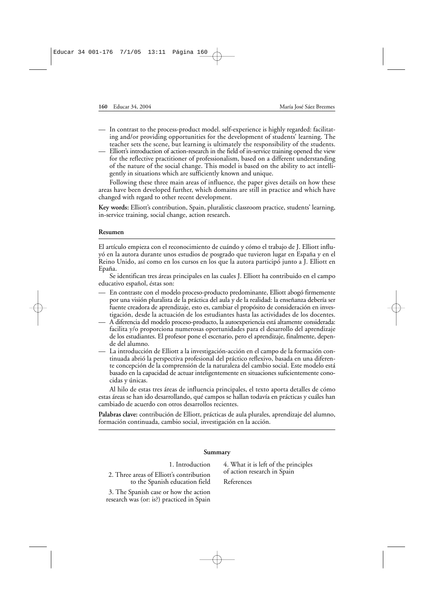- In contrast to the process-product model. self-experience is highly regarded: facilitating and/or providing opportunities for the development of students' learning. The teacher sets the scene, but learning is ultimately the responsibility of the students.
- Elliott's introduction of action-research in the field of in-service training opened the view for the reflective practitioner of professionalism, based on a different understanding of the nature of the social change. This model is based on the ability to act intelligently in situations which are sufficiently known and unique.

Following these three main areas of influence, the paper gives details on how these areas have been developed further, which domains are still in practice and which have changed with regard to other recent development.

**Key words:** Elliott's contribution, Spain, pluralistic classroom practice, students' learning, in-service training, social change, action research**.**

#### **Resumen**

El artículo empieza con el reconocimiento de cuándo y cómo el trabajo de J. Elliott influyó en la autora durante unos estudios de posgrado que tuvieron lugar en España y en el Reino Unido, así como en los cursos en los que la autora participó junto a J. Elliott en Epaña.

Se identifican tres áreas principales en las cuales J. Elliott ha contribuido en el campo educativo español, éstas son:

- En contraste con el modelo proceso-producto predominante, Elliott abogó firmemente por una visión pluralista de la práctica del aula y de la realidad: la enseñanza debería ser fuente creadora de aprendizaje, esto es, cambiar el propósito de consideración en investigación, desde la actuación de los estudiantes hasta las actividades de los docentes.
- A diferencia del modelo proceso-producto, la autoexperiencia está altamente considerada: facilita y/o proporciona numerosas oportunidades para el desarrollo del aprendizaje de los estudiantes. El profesor pone el escenario, pero el aprendizaje, finalmente, depende del alumno.
- La introducción de Elliott a la investigación-acción en el campo de la formación continuada abrió la perspectiva profesional del práctico reflexivo, basada en una diferente concepción de la comprensión de la naturaleza del cambio social. Este modelo está basado en la capacidad de actuar inteligentemente en situaciones suficientemente conocidas y únicas.

Al hilo de estas tres áreas de influencia principales, el texto aporta detalles de cómo estas áreas se han ido desarrollando, qué campos se hallan todavía en prácticas y cuáles han cambiado de acuerdo con otros desarrollos recientes.

**Palabras clave:** contribución de Elliott, prácticas de aula plurales, aprendizaje del alumno, formación continuada, cambio social, investigación en la acción.

| Summary                                                                                                                                                                             |                                                                                   |
|-------------------------------------------------------------------------------------------------------------------------------------------------------------------------------------|-----------------------------------------------------------------------------------|
| 1. Introduction<br>2. Three areas of Elliott's contribution<br>to the Spanish education field<br>3. The Spanish case or how the action<br>research was (or: is?) practiced in Spain | 4. What it is left of the principles<br>of action research in Spain<br>References |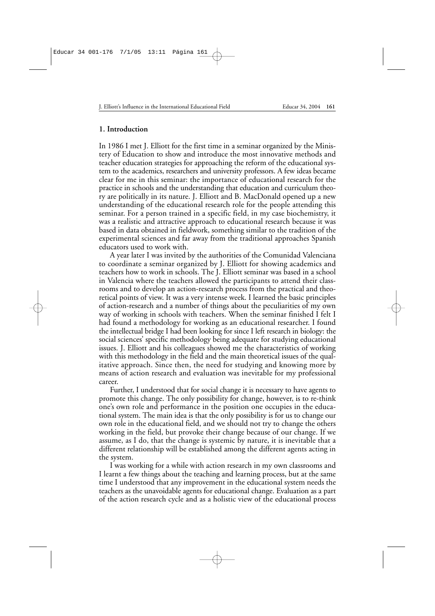#### **1. Introduction**

In 1986 I met J. Elliott for the first time in a seminar organized by the Ministery of Education to show and introduce the most innovative methods and teacher education strategies for approaching the reform of the educational system to the academics, researchers and university professors. A few ideas became clear for me in this seminar: the importance of educational research for the practice in schools and the understanding that education and curriculum theory are politically in its nature. J. Elliott and B. MacDonald opened up a new understanding of the educational research role for the people attending this seminar. For a person trained in a specific field, in my case biochemistry, it was a realistic and attractive approach to educational research because it was based in data obtained in fieldwork, something similar to the tradition of the experimental sciences and far away from the traditional approaches Spanish educators used to work with.

A year later I was invited by the authorities of the Comunidad Valenciana to coordinate a seminar organized by J. Elliott for showing academics and teachers how to work in schools. The J. Elliott seminar was based in a school in Valencia where the teachers allowed the participants to attend their classrooms and to develop an action-research process from the practical and theoretical points of view. It was a very intense week. I learned the basic principles of action-research and a number of things about the peculiarities of my own way of working in schools with teachers. When the seminar finished I felt I had found a methodology for working as an educational researcher. I found the intellectual bridge I had been looking for since I left research in biology: the social sciences' specific methodology being adequate for studying educational issues. J. Elliott and his colleagues showed me the characteristics of working with this methodology in the field and the main theoretical issues of the qualitative approach. Since then, the need for studying and knowing more by means of action research and evaluation was inevitable for my professional career.

Further, I understood that for social change it is necessary to have agents to promote this change. The only possibility for change, however, is to re-think one's own role and performance in the position one occupies in the educational system. The main idea is that the only possibility is for us to change our own role in the educational field, and we should not try to change the others working in the field, but provoke their change because of our change. If we assume, as I do, that the change is systemic by nature, it is inevitable that a different relationship will be established among the different agents acting in the system.

I was working for a while with action research in my own classrooms and I learnt a few things about the teaching and learning process, but at the same time I understood that any improvement in the educational system needs the teachers as the unavoidable agents for educational change. Evaluation as a part of the action research cycle and as a holistic view of the educational process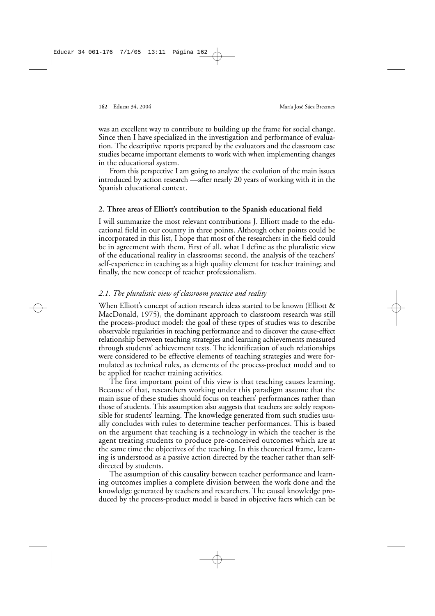was an excellent way to contribute to building up the frame for social change. Since then I have specialized in the investigation and performance of evaluation. The descriptive reports prepared by the evaluators and the classroom case studies became important elements to work with when implementing changes in the educational system.

From this perspective I am going to analyze the evolution of the main issues introduced by action research —after nearly 20 years of working with it in the Spanish educational context.

#### **2. Three areas of Elliott's contribution to the Spanish educational field**

I will summarize the most relevant contributions J. Elliott made to the educational field in our country in three points. Although other points could be incorporated in this list, I hope that most of the researchers in the field could be in agreement with them. First of all, what I define as the pluralistic view of the educational reality in classrooms; second, the analysis of the teachers' self-experience in teaching as a high quality element for teacher training; and finally, the new concept of teacher professionalism.

# *2.1. The pluralistic view of classroom practice and reality*

When Elliott's concept of action research ideas started to be known (Elliott & MacDonald, 1975), the dominant approach to classroom research was still the process-product model: the goal of these types of studies was to describe observable regularities in teaching performance and to discover the cause-effect relationship between teaching strategies and learning achievements measured through students' achievement tests. The identification of such relationships were considered to be effective elements of teaching strategies and were formulated as technical rules, as elements of the process-product model and to be applied for teacher training activities.

The first important point of this view is that teaching causes learning. Because of that, researchers working under this paradigm assume that the main issue of these studies should focus on teachers' performances rather than those of students. This assumption also suggests that teachers are solely responsible for students' learning. The knowledge generated from such studies usually concludes with rules to determine teacher performances. This is based on the argument that teaching is a technology in which the teacher is the agent treating students to produce pre-conceived outcomes which are at the same time the objectives of the teaching. In this theoretical frame, learning is understood as a passive action directed by the teacher rather than selfdirected by students.

The assumption of this causality between teacher performance and learning outcomes implies a complete division between the work done and the knowledge generated by teachers and researchers. The causal knowledge produced by the process-product model is based in objective facts which can be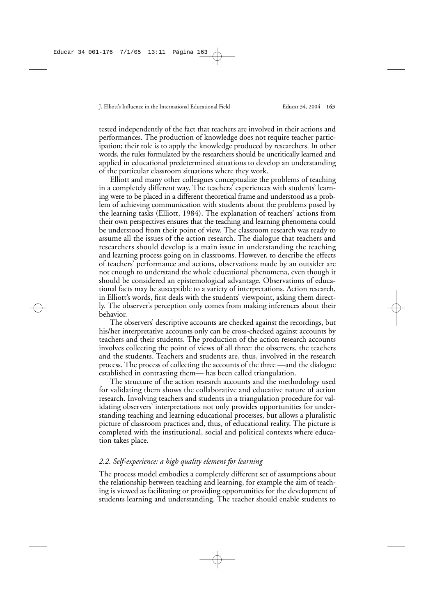tested independently of the fact that teachers are involved in their actions and performances. The production of knowledge does not require teacher participation; their role is to apply the knowledge produced by researchers. In other words, the rules formulated by the researchers should be uncritically learned and applied in educational predetermined situations to develop an understanding of the particular classroom situations where they work.

Elliott and many other colleagues conceptualize the problems of teaching in a completely different way. The teachers' experiences with students' learning were to be placed in a different theoretical frame and understood as a problem of achieving communication with students about the problems posed by the learning tasks (Elliott, 1984). The explanation of teachers' actions from their own perspectives ensures that the teaching and learning phenomena could be understood from their point of view. The classroom research was ready to assume all the issues of the action research. The dialogue that teachers and researchers should develop is a main issue in understanding the teaching and learning process going on in classrooms. However, to describe the effects of teachers' performance and actions, observations made by an outsider are not enough to understand the whole educational phenomena, even though it should be considered an epistemological advantage. Observations of educational facts may be susceptible to a variety of interpretations. Action research, in Elliott's words, first deals with the students' viewpoint, asking them directly. The observer's perception only comes from making inferences about their behavior.

The observers' descriptive accounts are checked against the recordings, but his/her interpretative accounts only can be cross-checked against accounts by teachers and their students. The production of the action research accounts involves collecting the point of views of all three: the observers, the teachers and the students. Teachers and students are, thus, involved in the research process. The process of collecting the accounts of the three —and the dialogue established in contrasting them— has been called triangulation.

The structure of the action research accounts and the methodology used for validating them shows the collaborative and educative nature of action research. Involving teachers and students in a triangulation procedure for validating observers' interpretations not only provides opportunities for understanding teaching and learning educational processes, but allows a pluralistic picture of classroom practices and, thus, of educational reality. The picture is completed with the institutional, social and political contexts where education takes place.

# *2.2. Self-experience: a high quality element for learning*

The process model embodies a completely different set of assumptions about the relationship between teaching and learning, for example the aim of teaching is viewed as facilitating or providing opportunities for the development of students learning and understanding. The teacher should enable students to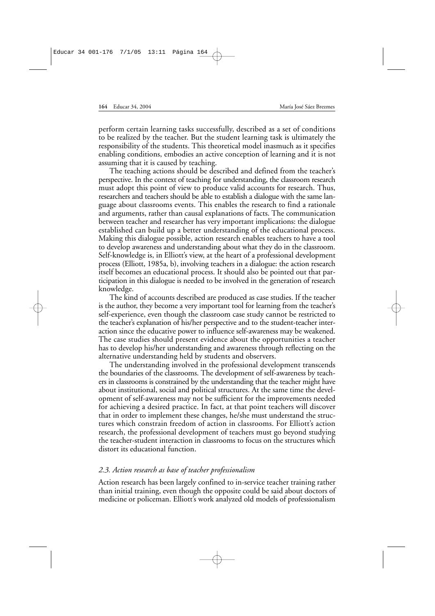perform certain learning tasks successfully, described as a set of conditions to be realized by the teacher. But the student learning task is ultimately the responsibility of the students. This theoretical model inasmuch as it specifies enabling conditions, embodies an active conception of learning and it is not assuming that it is caused by teaching.

The teaching actions should be described and defined from the teacher's perspective. In the context of teaching for understanding, the classroom research must adopt this point of view to produce valid accounts for research. Thus, researchers and teachers should be able to establish a dialogue with the same language about classrooms events. This enables the research to find a rationale and arguments, rather than causal explanations of facts. The communication between teacher and researcher has very important implications: the dialogue established can build up a better understanding of the educational process. Making this dialogue possible, action research enables teachers to have a tool to develop awareness and understanding about what they do in the classroom. Self-knowledge is, in Elliott's view, at the heart of a professional development process (Elliott, 1985a, b), involving teachers in a dialogue: the action research itself becomes an educational process. It should also be pointed out that participation in this dialogue is needed to be involved in the generation of research knowledge.

The kind of accounts described are produced as case studies. If the teacher is the author, they become a very important tool for learning from the teacher's self-experience, even though the classroom case study cannot be restricted to the teacher's explanation of his/her perspective and to the student-teacher interaction since the educative power to influence self-awareness may be weakened. The case studies should present evidence about the opportunities a teacher has to develop his/her understanding and awareness through reflecting on the alternative understanding held by students and observers.

The understanding involved in the professional development transcends the boundaries of the classrooms. The development of self-awareness by teachers in classrooms is constrained by the understanding that the teacher might have about institutional, social and political structures. At the same time the development of self-awareness may not be sufficient for the improvements needed for achieving a desired practice. In fact, at that point teachers will discover that in order to implement these changes, he/she must understand the structures which constrain freedom of action in classrooms. For Elliott's action research, the professional development of teachers must go beyond studying the teacher-student interaction in classrooms to focus on the structures which distort its educational function.

# *2.3. Action research as base of teacher professionalism*

Action research has been largely confined to in-service teacher training rather than initial training, even though the opposite could be said about doctors of medicine or policeman. Elliott's work analyzed old models of professionalism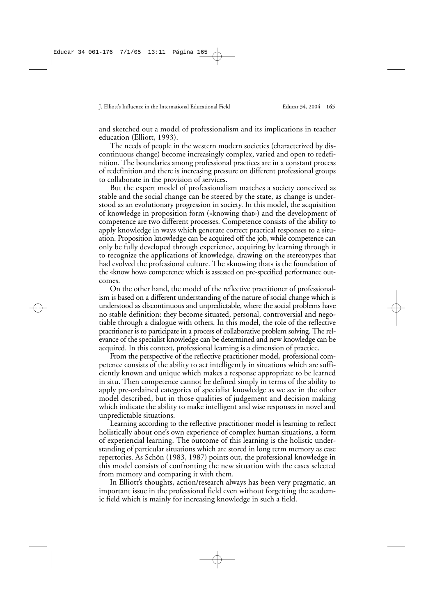and sketched out a model of professionalism and its implications in teacher education (Elliott, 1993).

The needs of people in the western modern societies (characterized by discontinuous change) become increasingly complex, varied and open to redefinition. The boundaries among professional practices are in a constant process of redefinition and there is increasing pressure on different professional groups to collaborate in the provision of services.

But the expert model of professionalism matches a society conceived as stable and the social change can be steered by the state, as change is understood as an evolutionary progression in society. In this model, the acquisition of knowledge in proposition form («knowing that») and the development of competence are two different processes. Competence consists of the ability to apply knowledge in ways which generate correct practical responses to a situation. Proposition knowledge can be acquired off the job, while competence can only be fully developed through experience, acquiring by learning through it to recognize the applications of knowledge, drawing on the stereotypes that had evolved the professional culture. The «knowing that» is the foundation of the «know how» competence which is assessed on pre-specified performance outcomes.

On the other hand, the model of the reflective practitioner of professionalism is based on a different understanding of the nature of social change which is understood as discontinuous and unpredictable, where the social problems have no stable definition: they become situated, personal, controversial and negotiable through a dialogue with others. In this model, the role of the reflective practitioner is to participate in a process of collaborative problem solving. The relevance of the specialist knowledge can be determined and new knowledge can be acquired. In this context, professional learning is a dimension of practice.

From the perspective of the reflective practitioner model, professional competence consists of the ability to act intelligently in situations which are sufficiently known and unique which makes a response appropriate to be learned in situ. Then competence cannot be defined simply in terms of the ability to apply pre-ordained categories of specialist knowledge as we see in the other model described, but in those qualities of judgement and decision making which indicate the ability to make intelligent and wise responses in novel and unpredictable situations.

Learning according to the reflective practitioner model is learning to reflect holistically about one's own experience of complex human situations, a form of experiencial learning. The outcome of this learning is the holistic understanding of particular situations which are stored in long term memory as case repertories. As Schön (1983, 1987) points out, the professional knowledge in this model consists of confronting the new situation with the cases selected from memory and comparing it with them.

In Elliott's thoughts, action/research always has been very pragmatic, an important issue in the professional field even without forgetting the academic field which is mainly for increasing knowledge in such a field.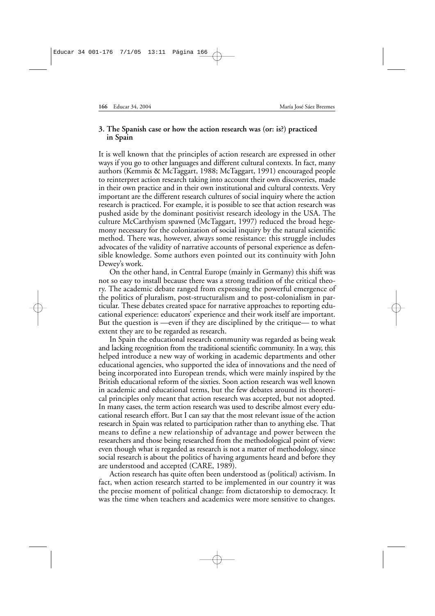# **3. The Spanish case or how the action research was (or: is?) practiced in Spain**

It is well known that the principles of action research are expressed in other ways if you go to other languages and different cultural contexts. In fact, many authors (Kemmis & McTaggart, 1988; McTaggart, 1991) encouraged people to reinterpret action research taking into account their own discoveries, made in their own practice and in their own institutional and cultural contexts. Very important are the different research cultures of social inquiry where the action research is practiced. For example, it is possible to see that action research was pushed aside by the dominant positivist research ideology in the USA. The culture McCarthyism spawned (McTaggart, 1997) reduced the broad hegemony necessary for the colonization of social inquiry by the natural scientific method. There was, however, always some resistance: this struggle includes advocates of the validity of narrative accounts of personal experience as defensible knowledge. Some authors even pointed out its continuity with John Dewey's work.

On the other hand, in Central Europe (mainly in Germany) this shift was not so easy to install because there was a strong tradition of the critical theory. The academic debate ranged from expressing the powerful emergence of the politics of pluralism, post-structuralism and to post-colonialism in particular. These debates created space for narrative approaches to reporting educational experience: educators' experience and their work itself are important. But the question is —even if they are disciplined by the critique— to what extent they are to be regarded as research.

In Spain the educational research community was regarded as being weak and lacking recognition from the traditional scientific community. In a way, this helped introduce a new way of working in academic departments and other educational agencies, who supported the idea of innovations and the need of being incorporated into European trends, which were mainly inspired by the British educational reform of the sixties. Soon action research was well known in academic and educational terms, but the few debates around its theoretical principles only meant that action research was accepted, but not adopted. In many cases, the term action research was used to describe almost every educational research effort. But I can say that the most relevant issue of the action research in Spain was related to participation rather than to anything else. That means to define a new relationship of advantage and power between the researchers and those being researched from the methodological point of view: even though what is regarded as research is not a matter of methodology, since social research is about the politics of having arguments heard and before they are understood and accepted (CARE, 1989).

Action research has quite often been understood as (political) activism. In fact, when action research started to be implemented in our country it was the precise moment of political change: from dictatorship to democracy. It was the time when teachers and academics were more sensitive to changes.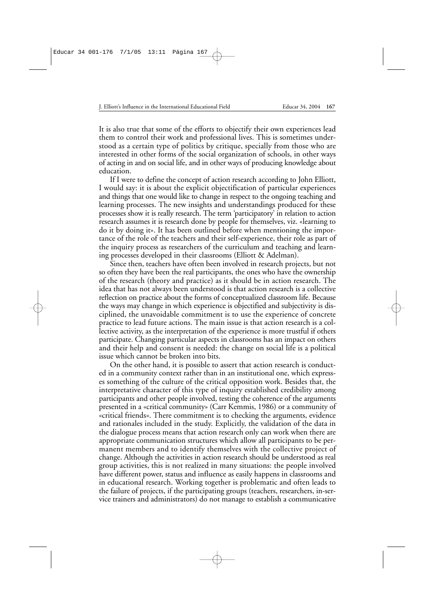It is also true that some of the efforts to objectify their own experiences lead them to control their work and professional lives. This is sometimes understood as a certain type of politics by critique, specially from those who are interested in other forms of the social organization of schools, in other ways of acting in and on social life, and in other ways of producing knowledge about education.

If I were to define the concept of action research according to John Elliott, I would say: it is about the explicit objectification of particular experiences and things that one would like to change in respect to the ongoing teaching and learning processes. The new insights and understandings produced for these processes show it is really research. The term 'participatory' in relation to action research assumes it is research done by people for themselves, viz. «learning to do it by doing it». It has been outlined before when mentioning the importance of the role of the teachers and their self-experience, their role as part of the inquiry process as researchers of the curriculum and teaching and learning processes developed in their classrooms (Elliott & Adelman).

Since then, teachers have often been involved in research projects, but not so often they have been the real participants, the ones who have the ownership of the research (theory and practice) as it should be in action research. The idea that has not always been understood is that action research is a collective reflection on practice about the forms of conceptualized classroom life. Because the ways may change in which experience is objectified and subjectivity is disciplined, the unavoidable commitment is to use the experience of concrete practice to lead future actions. The main issue is that action research is a collective activity, as the interpretation of the experience is more trustful if others participate. Changing particular aspects in classrooms has an impact on others and their help and consent is needed: the change on social life is a political issue which cannot be broken into bits.

On the other hand, it is possible to assert that action research is conducted in a community context rather than in an institutional one, which expresses something of the culture of the critical opposition work. Besides that, the interpretative character of this type of inquiry established credibility among participants and other people involved, testing the coherence of the arguments presented in a «critical community» (Carr Kemmis, 1986) or a community of «critical friends». There commitment is to checking the arguments, evidence and rationales included in the study. Explicitly, the validation of the data in the dialogue process means that action research only can work when there are appropriate communication structures which allow all participants to be permanent members and to identify themselves with the collective project of change. Although the activities in action research should be understood as real group activities, this is not realized in many situations: the people involved have different power, status and influence as easily happens in classrooms and in educational research. Working together is problematic and often leads to the failure of projects, if the participating groups (teachers, researchers, in-service trainers and administrators) do not manage to establish a communicative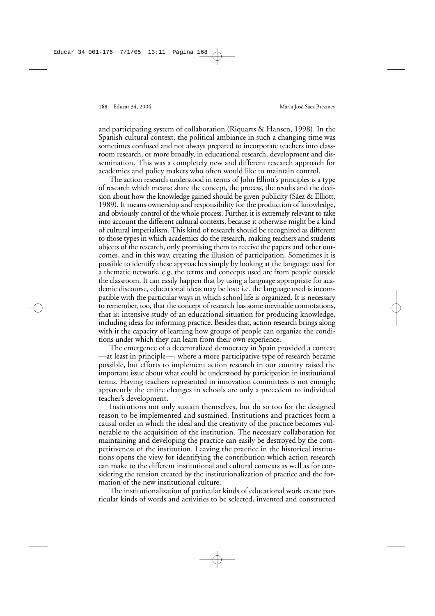and participating system of collaboration (Riquarts & Hansen, 1998). In the Spanish cultural context, the political ambiance in such a changing time was sometimes confused and not always prepared to incorporate teachers into classroom research, or more broadly, in educational research, development and dissemination. This was a completely new and different research approach for academics and policy makers who often would like to maintain control.

The action research understood in terms of John Elliott's principles is a type of research which means: share the concept, the process, the results and the decision about how the knowledge gained should be given publicity (Sáez & Elliott, 1989). It means ownership and responsibility for the production of knowledge, and obviously control of the whole process. Further, it is extremely relevant to take into account the different cultural contexts, because it otherwise might be a kind of cultural imperialism. This kind of research should be recognized as different to those types in which academics do the research, making teachers and students objects of the research, only promising them to receive the papers and other outcomes, and in this way, creating the illusion of participation. Sometimes it is possible to identify these approaches simply by looking at the language used for a thematic network, e.g. the terms and concepts used are from people outside the classroom. It can easily happen that by using a language appropriate for academic discourse, educational ideas may be lost: i.e. the language used is incompatible with the particular ways in which school life is organized. It is necessary to remember, too, that the concept of research has some inevitable connotations, that is: intensive study of an educational situation for producing knowledge, including ideas for informing practice. Besides that, action research brings along with it the capacity of learning how groups of people can organize the conditions under which they can learn from their own experience.

The emergence of a decentralized democracy in Spain provided a context —at least in principle—, where a more participative type of research became possible, but efforts to implement action research in our country raised the important issue about what could be understood by participation in institutional terms. Having teachers represented in innovation committees is not enough; apparently the entire changes in schools are only a precedent to individual teacher's development.

Institutions not only sustain themselves, but do so too for the designed reason to be implemented and sustained. Institutions and practices form a causal order in which the ideal and the creativity of the practice becomes vulnerable to the acquisition of the institution. The necessary collaboration for maintaining and developing the practice can easily be destroyed by the competitiveness of the institution. Leaving the practice in the historical institutions opens the view for identifying the contribution which action research can make to the different institutional and cultural contexts as well as for considering the tension created by the institutionalization of practice and the formation of the new institutional culture.

The institutionalization of particular kinds of educational work create particular kinds of words and activities to be selected, invented and constructed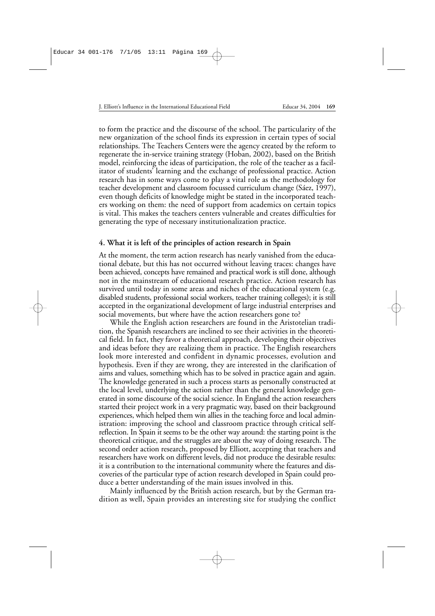to form the practice and the discourse of the school. The particularity of the new organization of the school finds its expression in certain types of social relationships. The Teachers Centers were the agency created by the reform to regenerate the in-service training strategy (Hoban, 2002), based on the British model, reinforcing the ideas of participation, the role of the teacher as a facilitator of students' learning and the exchange of professional practice. Action research has in some ways come to play a vital role as the methodology for teacher development and classroom focussed curriculum change (Sáez, 1997), even though deficits of knowledge might be stated in the incorporated teachers working on them: the need of support from academics on certain topics is vital. This makes the teachers centers vulnerable and creates difficulties for generating the type of necessary institutionalization practice.

# **4. What it is left of the principles of action research in Spain**

At the moment, the term action research has nearly vanished from the educational debate, but this has not occurred without leaving traces: changes have been achieved, concepts have remained and practical work is still done, although not in the mainstream of educational research practice. Action research has survived until today in some areas and niches of the educational system (e.g. disabled students, professional social workers, teacher training colleges); it is still accepted in the organizational development of large industrial enterprises and social movements, but where have the action researchers gone to?

While the English action researchers are found in the Aristotelian tradition, the Spanish researchers are inclined to see their activities in the theoretical field. In fact, they favor a theoretical approach, developing their objectives and ideas before they are realizing them in practice. The English researchers look more interested and confident in dynamic processes, evolution and hypothesis. Even if they are wrong, they are interested in the clarification of aims and values, something which has to be solved in practice again and again. The knowledge generated in such a process starts as personally constructed at the local level, underlying the action rather than the general knowledge generated in some discourse of the social science. In England the action researchers started their project work in a very pragmatic way, based on their background experiences, which helped them win allies in the teaching force and local administration: improving the school and classroom practice through critical selfreflection. In Spain it seems to be the other way around: the starting point is the theoretical critique, and the struggles are about the way of doing research. The second order action research, proposed by Elliott, accepting that teachers and researchers have work on different levels, did not produce the desirable results: it is a contribution to the international community where the features and discoveries of the particular type of action research developed in Spain could produce a better understanding of the main issues involved in this.

Mainly influenced by the British action research, but by the German tradition as well, Spain provides an interesting site for studying the conflict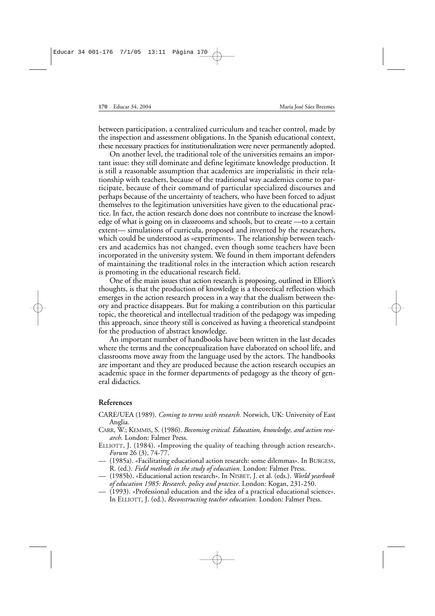between participation, a centralized curriculum and teacher control, made by the inspection and assessment obligations. In the Spanish educational context, these necessary practices for institutionalization were never permanently adopted.

On another level, the traditional role of the universities remains an important issue: they still dominate and define legitimate knowledge production. It is still a reasonable assumption that academics are imperialistic in their relationship with teachers, because of the traditional way academics come to participate, because of their command of particular specialized discourses and perhaps because of the uncertainty of teachers, who have been forced to adjust themselves to the legitimation universities have given to the educational practice. In fact, the action research done does not contribute to increase the knowledge of what is going on in classrooms and schools, but to create —to a certain extent— simulations of curricula, proposed and invented by the researchers, which could be understood as «experiments». The relationship between teachers and academics has not changed, even though some teachers have been incorporated in the university system. We found in them important defenders of maintaining the traditional roles in the interaction which action research is promoting in the educational research field.

One of the main issues that action research is proposing, outlined in Elliott's thoughts, is that the production of knowledge is a theoretical reflection which emerges in the action research process in a way that the dualism between theory and practice disappears. But for making a contribution on this particular topic, the theoretical and intellectual tradition of the pedagogy was impeding this approach, since theory still is conceived as having a theoretical standpoint for the production of abstract knowledge.

An important number of handbooks have been written in the last decades where the terms and the conceptualization have elaborated on school life, and classrooms move away from the language used by the actors. The handbooks are important and they are produced because the action research occupies an academic space in the former departments of pedagogy as the theory of general didactics.

#### **References**

- CARE/UEA (1989). *Coming to terms with research.* Norwich, UK: University of East Anglia.
- CARR, W.; KEMMIS, S. (1986). *Becoming critical. Education, knowledge, and action research.* London: Falmer Press.
- ELLIOTT, J. (1984). «Improving the quality of teaching through action research». *Forum* 26 (3), 74-77.
- (1985a). «Facilitating educational action research: some dilemmas». In BURGESS, R. (ed.). *Field methods in the study of education.* London: Falmer Press.
- (1985b). «Educational action research». In NISBET, J. et al. (eds.). *World yearbook of education 1985: Research, policy and practice*. London: Kogan, 231-250.
- (1993). «Professional education and the idea of a practical educational science». In ELLIOTT, J. (ed.), *Reconstructing teacher education.* London: Falmer Press.